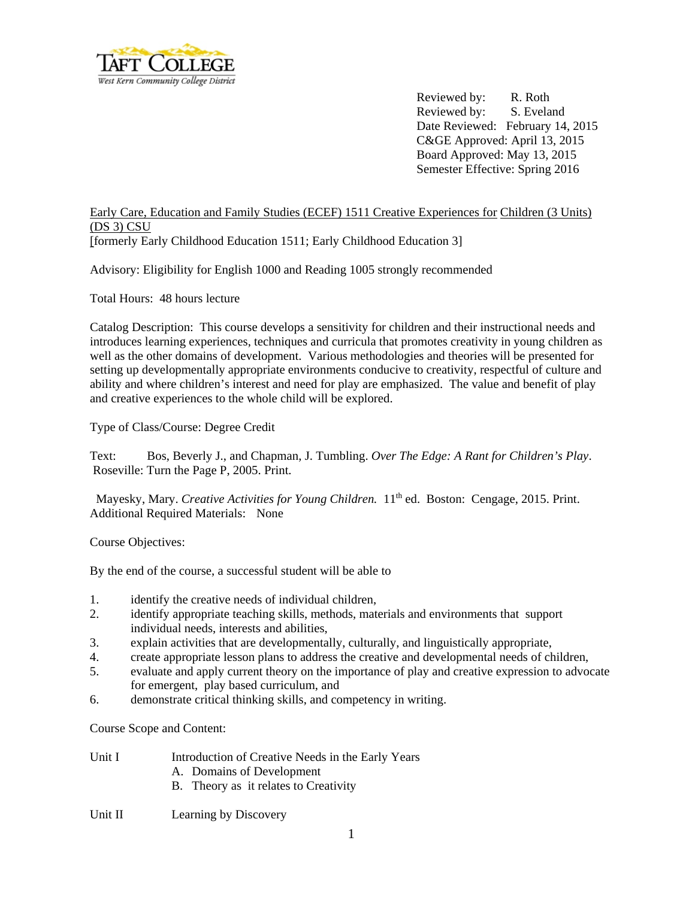

Reviewed by: R. Roth Reviewed by: S. Eveland Date Reviewed: February 14, 2015 C&GE Approved: April 13, 2015 Board Approved: May 13, 2015 Semester Effective: Spring 2016

## Early Care, Education and Family Studies (ECEF) 1511 Creative Experiences for Children (3 Units) (DS 3) CSU [formerly Early Childhood Education 1511; Early Childhood Education 3]

Advisory: Eligibility for English 1000 and Reading 1005 strongly recommended

Total Hours: 48 hours lecture

Catalog Description: This course develops a sensitivity for children and their instructional needs and introduces learning experiences, techniques and curricula that promotes creativity in young children as well as the other domains of development. Various methodologies and theories will be presented for setting up developmentally appropriate environments conducive to creativity, respectful of culture and ability and where children's interest and need for play are emphasized. The value and benefit of play and creative experiences to the whole child will be explored.

Type of Class/Course: Degree Credit

Text: Bos, Beverly J., and Chapman, J. Tumbling. *Over The Edge: A Rant for Children's Play*. Roseville: Turn the Page P, 2005. Print.

Mayesky, Mary. *Creative Activities for Young Children.* 11<sup>th</sup> ed. Boston: Cengage, 2015. Print. Additional Required Materials: None

Course Objectives:

By the end of the course, a successful student will be able to

- 1. identify the creative needs of individual children,
- 2. identify appropriate teaching skills, methods, materials and environments that support individual needs, interests and abilities,
- 3. explain activities that are developmentally, culturally, and linguistically appropriate,
- 4. create appropriate lesson plans to address the creative and developmental needs of children,
- 5. evaluate and apply current theory on the importance of play and creative expression to advocate for emergent, play based curriculum, and
- 6. demonstrate critical thinking skills, and competency in writing.

Course Scope and Content:

Unit I Introduction of Creative Needs in the Early Years A. Domains of Development B. Theory as it relates to Creativity

## Unit II Learning by Discovery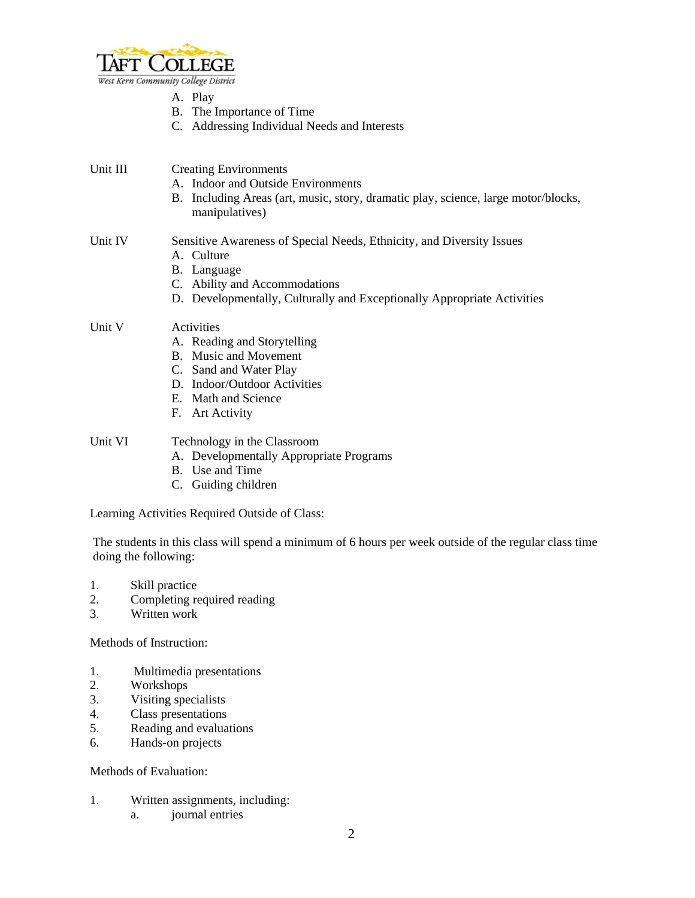

- A. Play
- B. The Importance of Time
- C. Addressing Individual Needs and Interests
- Unit III Creating Environments
	- A. Indoor and Outside Environments
	- B. Including Areas (art, music, story, dramatic play, science, large motor/blocks, manipulatives)

## Unit IV Sensitive Awareness of Special Needs, Ethnicity, and Diversity Issues

- A. Culture
- B. Language
- C. Ability and Accommodations
- D. Developmentally, Culturally and Exceptionally Appropriate Activities

## Unit V Activities

- A. Reading and Storytelling
- B. Music and Movement
- C. Sand and Water Play
- D. Indoor/Outdoor Activities
- E. Math and Science
- F. Art Activity

Unit VI Technology in the Classroom

- A. Developmentally Appropriate Programs
- B. Use and Time
- C. Guiding children

Learning Activities Required Outside of Class:

 The students in this class will spend a minimum of 6 hours per week outside of the regular class time doing the following:

- 1. Skill practice
- 2. Completing required reading
- 3. Written work

Methods of Instruction:

- 1. Multimedia presentations
- 2. Workshops
- 3. Visiting specialists
- 4. Class presentations
- 5. Reading and evaluations
- 6. Hands-on projects

Methods of Evaluation:

- 1. Written assignments, including:
	- a. journal entries